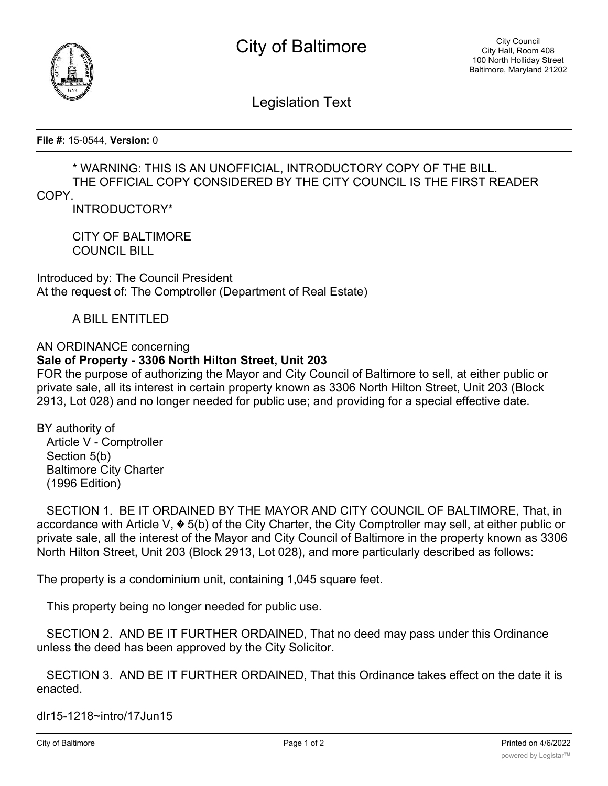



Legislation Text

**File #:** 15-0544, **Version:** 0

## \* WARNING: THIS IS AN UNOFFICIAL, INTRODUCTORY COPY OF THE BILL. THE OFFICIAL COPY CONSIDERED BY THE CITY COUNCIL IS THE FIRST READER

COPY.

INTRODUCTORY\*

CITY OF BALTIMORE COUNCIL BILL

Introduced by: The Council President At the request of: The Comptroller (Department of Real Estate)

A BILL ENTITLED

AN ORDINANCE concerning

## **Sale of Property - 3306 North Hilton Street, Unit 203**

FOR the purpose of authorizing the Mayor and City Council of Baltimore to sell, at either public or private sale, all its interest in certain property known as 3306 North Hilton Street, Unit 203 (Block 2913, Lot 028) and no longer needed for public use; and providing for a special effective date.

BY authority of Article V - Comptroller Section 5(b) Baltimore City Charter (1996 Edition)

 SECTION 1. BE IT ORDAINED BY THE MAYOR AND CITY COUNCIL OF BALTIMORE, That, in accordance with Article V, � 5(b) of the City Charter, the City Comptroller may sell, at either public or private sale, all the interest of the Mayor and City Council of Baltimore in the property known as 3306 North Hilton Street, Unit 203 (Block 2913, Lot 028), and more particularly described as follows:

The property is a condominium unit, containing 1,045 square feet.

This property being no longer needed for public use.

 SECTION 2. AND BE IT FURTHER ORDAINED, That no deed may pass under this Ordinance unless the deed has been approved by the City Solicitor.

 SECTION 3. AND BE IT FURTHER ORDAINED, That this Ordinance takes effect on the date it is enacted.

dlr15-1218~intro/17Jun15